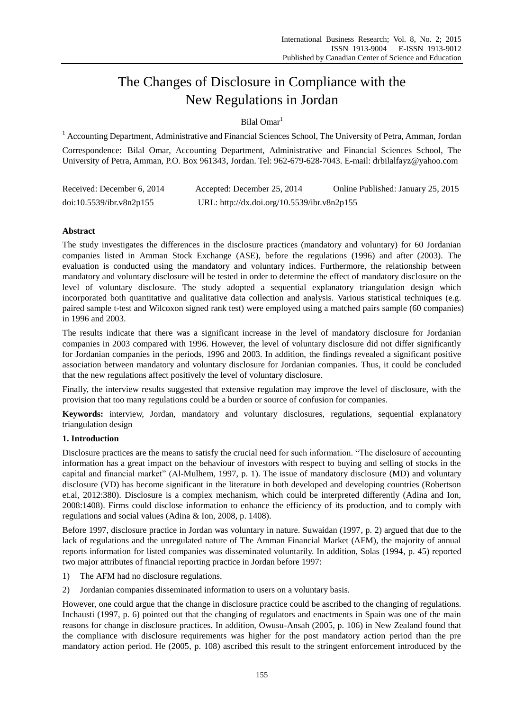# The Changes of Disclosure in Compliance with the New Regulations in Jordan

# Bilal Omar<sup>1</sup>

<sup>1</sup> Accounting Department, Administrative and Financial Sciences School, The University of Petra, Amman, Jordan

Correspondence: Bilal Omar, Accounting Department, Administrative and Financial Sciences School, The University of Petra, Amman, P.O. Box 961343, Jordan. Tel: 962-679-628-7043. E-mail: drbilalfayz@yahoo.com

| Received: December 6, 2014 | Accepted: December 25, 2014                 | Online Published: January 25, 2015 |
|----------------------------|---------------------------------------------|------------------------------------|
| doi:10.5539/ibr.v8n2p155   | URL: http://dx.doi.org/10.5539/ibr.v8n2p155 |                                    |

# **Abstract**

The study investigates the differences in the disclosure practices (mandatory and voluntary) for 60 Jordanian companies listed in Amman Stock Exchange (ASE), before the regulations (1996) and after (2003). The evaluation is conducted using the mandatory and voluntary indices. Furthermore, the relationship between mandatory and voluntary disclosure will be tested in order to determine the effect of mandatory disclosure on the level of voluntary disclosure. The study adopted a sequential explanatory triangulation design which incorporated both quantitative and qualitative data collection and analysis. Various statistical techniques (e.g. paired sample t-test and Wilcoxon signed rank test) were employed using a matched pairs sample (60 companies) in 1996 and 2003.

The results indicate that there was a significant increase in the level of mandatory disclosure for Jordanian companies in 2003 compared with 1996. However, the level of voluntary disclosure did not differ significantly for Jordanian companies in the periods, 1996 and 2003. In addition, the findings revealed a significant positive association between mandatory and voluntary disclosure for Jordanian companies. Thus, it could be concluded that the new regulations affect positively the level of voluntary disclosure.

Finally, the interview results suggested that extensive regulation may improve the level of disclosure, with the provision that too many regulations could be a burden or source of confusion for companies.

**Keywords:** interview, Jordan, mandatory and voluntary disclosures, regulations, sequential explanatory triangulation design

# **1. Introduction**

Disclosure practices are the means to satisfy the crucial need for such information. "The disclosure of accounting information has a great impact on the behaviour of investors with respect to buying and selling of stocks in the capital and financial market" (Al-Mulhem, 1997, p. 1). The issue of mandatory disclosure (MD) and voluntary disclosure (VD) has become significant in the literature in both developed and developing countries (Robertson et.al, 2012:380). Disclosure is a complex mechanism, which could be interpreted differently (Adina and Ion, 2008:1408). Firms could disclose information to enhance the efficiency of its production, and to comply with regulations and social values (Adina & Ion, 2008, p. 1408).

Before 1997, disclosure practice in Jordan was voluntary in nature. Suwaidan (1997, p. 2) argued that due to the lack of regulations and the unregulated nature of The Amman Financial Market (AFM), the majority of annual reports information for listed companies was disseminated voluntarily. In addition, Solas (1994, p. 45) reported two major attributes of financial reporting practice in Jordan before 1997:

- 1) The AFM had no disclosure regulations.
- 2) Jordanian companies disseminated information to users on a voluntary basis.

However, one could argue that the change in disclosure practice could be ascribed to the changing of regulations. Inchausti (1997, p. 6) pointed out that the changing of regulators and enactments in Spain was one of the main reasons for change in disclosure practices. In addition, Owusu-Ansah (2005, p. 106) in New Zealand found that the compliance with disclosure requirements was higher for the post mandatory action period than the pre mandatory action period. He (2005, p. 108) ascribed this result to the stringent enforcement introduced by the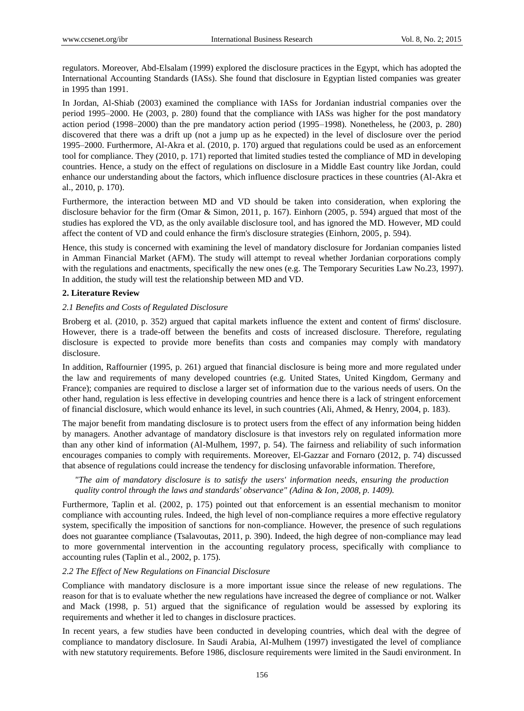regulators. Moreover, Abd-Elsalam (1999) explored the disclosure practices in the Egypt, which has adopted the International Accounting Standards (IASs). She found that disclosure in Egyptian listed companies was greater in 1995 than 1991.

In Jordan, Al-Shiab (2003) examined the compliance with IASs for Jordanian industrial companies over the period 1995–2000. He (2003, p. 280) found that the compliance with IASs was higher for the post mandatory action period (1998–2000) than the pre mandatory action period (1995–1998). Nonetheless, he (2003, p. 280) discovered that there was a drift up (not a jump up as he expected) in the level of disclosure over the period 1995–2000. Furthermore, Al-Akra et al. (2010, p. 170) argued that regulations could be used as an enforcement tool for compliance. They (2010, p. 171) reported that limited studies tested the compliance of MD in developing countries. Hence, a study on the effect of regulations on disclosure in a Middle East country like Jordan, could enhance our understanding about the factors, which influence disclosure practices in these countries (Al-Akra et al., 2010, p. 170).

Furthermore, the interaction between MD and VD should be taken into consideration, when exploring the disclosure behavior for the firm (Omar & Simon, 2011, p. 167). Einhorn (2005, p. 594) argued that most of the studies has explored the VD, as the only available disclosure tool, and has ignored the MD. However, MD could affect the content of VD and could enhance the firm's disclosure strategies (Einhorn, 2005, p. 594).

Hence, this study is concerned with examining the level of mandatory disclosure for Jordanian companies listed in Amman Financial Market (AFM). The study will attempt to reveal whether Jordanian corporations comply with the regulations and enactments, specifically the new ones (e.g. The Temporary Securities Law No.23, 1997). In addition, the study will test the relationship between MD and VD.

# **2. Literature Review**

# *2.1 Benefits and Costs of Regulated Disclosure*

Broberg et al. (2010, p. 352) argued that capital markets influence the extent and content of firms' disclosure. However, there is a trade-off between the benefits and costs of increased disclosure. Therefore, regulating disclosure is expected to provide more benefits than costs and companies may comply with mandatory disclosure.

In addition, Raffournier (1995, p. 261) argued that financial disclosure is being more and more regulated under the law and requirements of many developed countries (e.g. United States, United Kingdom, Germany and France); companies are required to disclose a larger set of information due to the various needs of users. On the other hand, regulation is less effective in developing countries and hence there is a lack of stringent enforcement of financial disclosure, which would enhance its level, in such countries (Ali, Ahmed, & Henry, 2004, p. 183).

The major benefit from mandating disclosure is to protect users from the effect of any information being hidden by managers. Another advantage of mandatory disclosure is that investors rely on regulated information more than any other kind of information (Al-Mulhem, 1997, p. 54). The fairness and reliability of such information encourages companies to comply with requirements. Moreover, El-Gazzar and Fornaro (2012, p. 74) discussed that absence of regulations could increase the tendency for disclosing unfavorable information. Therefore,

*"The aim of mandatory disclosure is to satisfy the users' information needs, ensuring the production quality control through the laws and standards' observance" (Adina & Ion, 2008, p. 1409).* 

Furthermore, Taplin et al. (2002, p. 175) pointed out that enforcement is an essential mechanism to monitor compliance with accounting rules. Indeed, the high level of non-compliance requires a more effective regulatory system, specifically the imposition of sanctions for non-compliance. However, the presence of such regulations does not guarantee compliance (Tsalavoutas, 2011, p. 390). Indeed, the high degree of non-compliance may lead to more governmental intervention in the accounting regulatory process, specifically with compliance to accounting rules (Taplin et al., 2002, p. 175).

# *2.2 The Effect of New Regulations on Financial Disclosure*

Compliance with mandatory disclosure is a more important issue since the release of new regulations. The reason for that is to evaluate whether the new regulations have increased the degree of compliance or not. Walker and Mack (1998, p. 51) argued that the significance of regulation would be assessed by exploring its requirements and whether it led to changes in disclosure practices.

In recent years, a few studies have been conducted in developing countries, which deal with the degree of compliance to mandatory disclosure. In Saudi Arabia, Al-Mulhem (1997) investigated the level of compliance with new statutory requirements. Before 1986, disclosure requirements were limited in the Saudi environment. In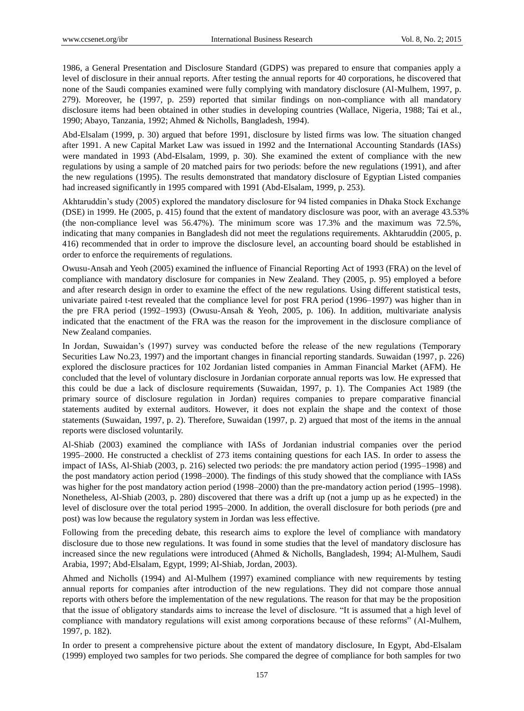1986, a General Presentation and Disclosure Standard (GDPS) was prepared to ensure that companies apply a level of disclosure in their annual reports. After testing the annual reports for 40 corporations, he discovered that none of the Saudi companies examined were fully complying with mandatory disclosure (Al-Mulhem, 1997, p. 279). Moreover, he (1997, p. 259) reported that similar findings on non-compliance with all mandatory disclosure items had been obtained in other studies in developing countries (Wallace, Nigeria, 1988; Tai et al., 1990; Abayo, Tanzania, 1992; Ahmed & Nicholls, Bangladesh, 1994).

Abd-Elsalam (1999, p. 30) argued that before 1991, disclosure by listed firms was low. The situation changed after 1991. A new Capital Market Law was issued in 1992 and the International Accounting Standards (IASs) were mandated in 1993 (Abd-Elsalam, 1999, p. 30). She examined the extent of compliance with the new regulations by using a sample of 20 matched pairs for two periods: before the new regulations (1991), and after the new regulations (1995). The results demonstrated that mandatory disclosure of Egyptian Listed companies had increased significantly in 1995 compared with 1991 (Abd-Elsalam, 1999, p. 253).

Akhtaruddin's study (2005) explored the mandatory disclosure for 94 listed companies in Dhaka Stock Exchange (DSE) in 1999. He (2005, p. 415) found that the extent of mandatory disclosure was poor, with an average 43.53% (the non-compliance level was 56.47%). The minimum score was 17.3% and the maximum was 72.5%, indicating that many companies in Bangladesh did not meet the regulations requirements. Akhtaruddin (2005, p. 416) recommended that in order to improve the disclosure level, an accounting board should be established in order to enforce the requirements of regulations.

Owusu-Ansah and Yeoh (2005) examined the influence of Financial Reporting Act of 1993 (FRA) on the level of compliance with mandatory disclosure for companies in New Zealand. They (2005, p. 95) employed a before and after research design in order to examine the effect of the new regulations. Using different statistical tests, univariate paired t-test revealed that the compliance level for post FRA period (1996–1997) was higher than in the pre FRA period (1992–1993) (Owusu-Ansah & Yeoh, 2005, p. 106). In addition, multivariate analysis indicated that the enactment of the FRA was the reason for the improvement in the disclosure compliance of New Zealand companies.

In Jordan, Suwaidan's (1997) survey was conducted before the release of the new regulations (Temporary Securities Law No.23, 1997) and the important changes in financial reporting standards. Suwaidan (1997, p. 226) explored the disclosure practices for 102 Jordanian listed companies in Amman Financial Market (AFM). He concluded that the level of voluntary disclosure in Jordanian corporate annual reports was low. He expressed that this could be due a lack of disclosure requirements (Suwaidan, 1997, p. 1). The Companies Act 1989 (the primary source of disclosure regulation in Jordan) requires companies to prepare comparative financial statements audited by external auditors. However, it does not explain the shape and the context of those statements (Suwaidan, 1997, p. 2). Therefore, Suwaidan (1997, p. 2) argued that most of the items in the annual reports were disclosed voluntarily.

Al-Shiab (2003) examined the compliance with IASs of Jordanian industrial companies over the period 1995–2000. He constructed a checklist of 273 items containing questions for each IAS. In order to assess the impact of IASs, Al-Shiab (2003, p. 216) selected two periods: the pre mandatory action period (1995–1998) and the post mandatory action period (1998–2000). The findings of this study showed that the compliance with IASs was higher for the post mandatory action period (1998–2000) than the pre-mandatory action period (1995–1998). Nonetheless, Al-Shiab (2003, p. 280) discovered that there was a drift up (not a jump up as he expected) in the level of disclosure over the total period 1995–2000. In addition, the overall disclosure for both periods (pre and post) was low because the regulatory system in Jordan was less effective.

Following from the preceding debate, this research aims to explore the level of compliance with mandatory disclosure due to those new regulations. It was found in some studies that the level of mandatory disclosure has increased since the new regulations were introduced (Ahmed & Nicholls, Bangladesh, 1994; Al-Mulhem, Saudi Arabia, 1997; Abd-Elsalam, Egypt, 1999; Al-Shiab, Jordan, 2003).

Ahmed and Nicholls (1994) and Al-Mulhem (1997) examined compliance with new requirements by testing annual reports for companies after introduction of the new regulations. They did not compare those annual reports with others before the implementation of the new regulations. The reason for that may be the proposition that the issue of obligatory standards aims to increase the level of disclosure. "It is assumed that a high level of compliance with mandatory regulations will exist among corporations because of these reforms" (Al-Mulhem, 1997, p. 182).

In order to present a comprehensive picture about the extent of mandatory disclosure, In Egypt, Abd-Elsalam (1999) employed two samples for two periods. She compared the degree of compliance for both samples for two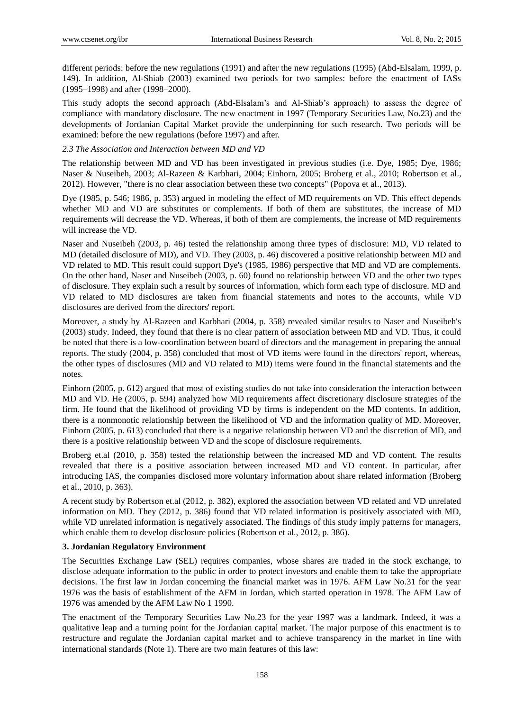different periods: before the new regulations (1991) and after the new regulations (1995) (Abd-Elsalam, 1999, p. 149). In addition, Al-Shiab (2003) examined two periods for two samples: before the enactment of IASs (1995–1998) and after (1998–2000).

This study adopts the second approach (Abd-Elsalam's and Al-Shiab's approach) to assess the degree of compliance with mandatory disclosure. The new enactment in 1997 (Temporary Securities Law, No.23) and the developments of Jordanian Capital Market provide the underpinning for such research. Two periods will be examined: before the new regulations (before 1997) and after.

## *2.3 The Association and Interaction between MD and VD*

The relationship between MD and VD has been investigated in previous studies (i.e. Dye, 1985; Dye, 1986; Naser & Nuseibeh, 2003; Al-Razeen & Karbhari, 2004; Einhorn, 2005; Broberg et al., 2010; Robertson et al., 2012). However, "there is no clear association between these two concepts" (Popova et al., 2013).

Dye (1985, p. 546; 1986, p. 353) argued in modeling the effect of MD requirements on VD. This effect depends whether MD and VD are substitutes or complements. If both of them are substitutes, the increase of MD requirements will decrease the VD. Whereas, if both of them are complements, the increase of MD requirements will increase the VD.

Naser and Nuseibeh (2003, p. 46) tested the relationship among three types of disclosure: MD, VD related to MD (detailed disclosure of MD), and VD. They (2003, p. 46) discovered a positive relationship between MD and VD related to MD. This result could support Dye's (1985, 1986) perspective that MD and VD are complements. On the other hand, Naser and Nuseibeh (2003, p. 60) found no relationship between VD and the other two types of disclosure. They explain such a result by sources of information, which form each type of disclosure. MD and VD related to MD disclosures are taken from financial statements and notes to the accounts, while VD disclosures are derived from the directors' report.

Moreover, a study by Al-Razeen and Karbhari (2004, p. 358) revealed similar results to Naser and Nuseibeh's (2003) study. Indeed, they found that there is no clear pattern of association between MD and VD. Thus, it could be noted that there is a low-coordination between board of directors and the management in preparing the annual reports. The study (2004, p. 358) concluded that most of VD items were found in the directors' report, whereas, the other types of disclosures (MD and VD related to MD) items were found in the financial statements and the notes.

Einhorn (2005, p. 612) argued that most of existing studies do not take into consideration the interaction between MD and VD. He (2005, p. 594) analyzed how MD requirements affect discretionary disclosure strategies of the firm. He found that the likelihood of providing VD by firms is independent on the MD contents. In addition, there is a nonmonotic relationship between the likelihood of VD and the information quality of MD. Moreover, Einhorn (2005, p. 613) concluded that there is a negative relationship between VD and the discretion of MD, and there is a positive relationship between VD and the scope of disclosure requirements.

Broberg et.al (2010, p. 358) tested the relationship between the increased MD and VD content. The results revealed that there is a positive association between increased MD and VD content. In particular, after introducing IAS, the companies disclosed more voluntary information about share related information (Broberg et al., 2010, p. 363).

A recent study by Robertson et.al (2012, p. 382), explored the association between VD related and VD unrelated information on MD. They (2012, p. 386) found that VD related information is positively associated with MD, while VD unrelated information is negatively associated. The findings of this study imply patterns for managers, which enable them to develop disclosure policies (Robertson et al., 2012, p. 386).

# **3. Jordanian Regulatory Environment**

The Securities Exchange Law (SEL) requires companies, whose shares are traded in the stock exchange, to disclose adequate information to the public in order to protect investors and enable them to take the appropriate decisions. The first law in Jordan concerning the financial market was in 1976. AFM Law No.31 for the year 1976 was the basis of establishment of the AFM in Jordan, which started operation in 1978. The AFM Law of 1976 was amended by the AFM Law No 1 1990.

The enactment of the Temporary Securities Law No.23 for the year 1997 was a landmark. Indeed, it was a qualitative leap and a turning point for the Jordanian capital market. The major purpose of this enactment is to restructure and regulate the Jordanian capital market and to achieve transparency in the market in line with international standards (Note 1). There are two main features of this law: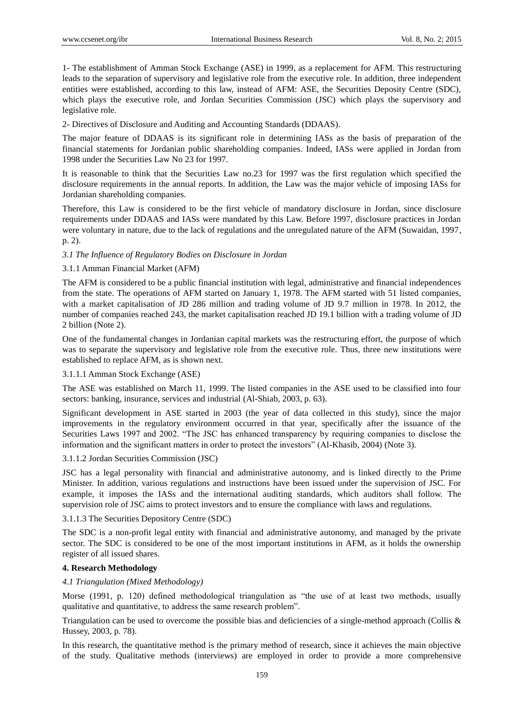1- The establishment of Amman Stock Exchange (ASE) in 1999, as a replacement for AFM. This restructuring leads to the separation of supervisory and legislative role from the executive role. In addition, three independent entities were established, according to this law, instead of AFM: ASE, the Securities Deposity Centre (SDC), which plays the executive role, and Jordan Securities Commission (JSC) which plays the supervisory and legislative role.

2- Directives of Disclosure and Auditing and Accounting Standards (DDAAS).

The major feature of DDAAS is its significant role in determining IASs as the basis of preparation of the financial statements for Jordanian public shareholding companies. Indeed, IASs were applied in Jordan from 1998 under the Securities Law No 23 for 1997.

It is reasonable to think that the Securities Law no.23 for 1997 was the first regulation which specified the disclosure requirements in the annual reports. In addition, the Law was the major vehicle of imposing IASs for Jordanian shareholding companies.

Therefore, this Law is considered to be the first vehicle of mandatory disclosure in Jordan, since disclosure requirements under DDAAS and IASs were mandated by this Law. Before 1997, disclosure practices in Jordan were voluntary in nature, due to the lack of regulations and the unregulated nature of the AFM (Suwaidan, 1997, p. 2).

# *3.1 The Influence of Regulatory Bodies on Disclosure in Jordan*

# 3.1.1 Amman Financial Market (AFM)

The AFM is considered to be a public financial institution with legal, administrative and financial independences from the state. The operations of AFM started on January 1, 1978. The AFM started with 51 listed companies, with a market capitalisation of JD 286 million and trading volume of JD 9.7 million in 1978. In 2012, the number of companies reached 243, the market capitalisation reached JD 19.1 billion with a trading volume of JD 2 billion (Note 2).

One of the fundamental changes in Jordanian capital markets was the restructuring effort, the purpose of which was to separate the supervisory and legislative role from the executive role. Thus, three new institutions were established to replace AFM, as is shown next.

# 3.1.1.1 Amman Stock Exchange (ASE)

The ASE was established on March 11, 1999. The listed companies in the ASE used to be classified into four sectors: banking, insurance, services and industrial (Al-Shiab, 2003, p. 63).

Significant development in ASE started in 2003 (the year of data collected in this study), since the major improvements in the regulatory environment occurred in that year, specifically after the issuance of the Securities Laws 1997 and 2002. "The JSC has enhanced transparency by requiring companies to disclose the information and the significant matters in order to protect the investors" (Al-Khasib, 2004) (Note 3).

# 3.1.1.2 Jordan Securities Commission (JSC)

JSC has a legal personality with financial and administrative autonomy, and is linked directly to the Prime Minister. In addition, various regulations and instructions have been issued under the supervision of JSC. For example, it imposes the IASs and the international auditing standards, which auditors shall follow. The supervision role of JSC aims to protect investors and to ensure the compliance with laws and regulations.

# 3.1.1.3 The Securities Depository Centre (SDC)

The SDC is a non-profit legal entity with financial and administrative autonomy, and managed by the private sector. The SDC is considered to be one of the most important institutions in AFM, as it holds the ownership register of all issued shares.

# **4. Research Methodology**

# *4.1 Triangulation (Mixed Methodology)*

Morse (1991, p. 120) defined methodological triangulation as "the use of at least two methods, usually qualitative and quantitative, to address the same research problem".

Triangulation can be used to overcome the possible bias and deficiencies of a single-method approach (Collis & Hussey, 2003, p. 78).

In this research, the quantitative method is the primary method of research, since it achieves the main objective of the study. Qualitative methods (interviews) are employed in order to provide a more comprehensive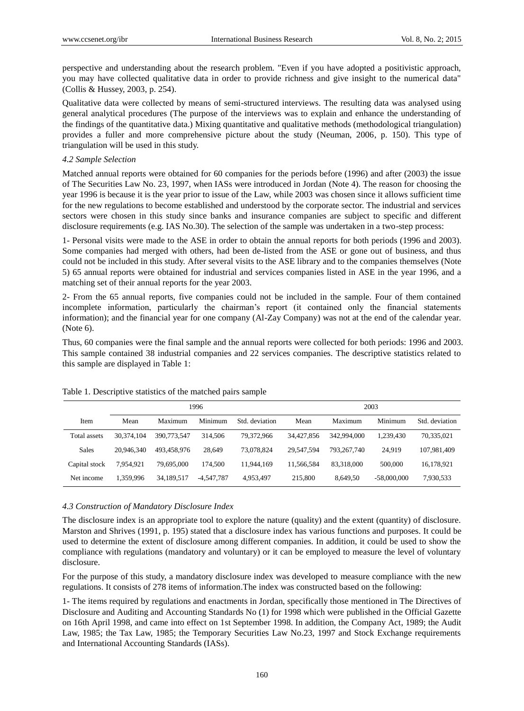perspective and understanding about the research problem. "Even if you have adopted a positivistic approach, you may have collected qualitative data in order to provide richness and give insight to the numerical data" (Collis & Hussey, 2003, p. 254).

Qualitative data were collected by means of semi-structured interviews. The resulting data was analysed using general analytical procedures (The purpose of the interviews was to explain and enhance the understanding of the findings of the quantitative data.) Mixing quantitative and qualitative methods (methodological triangulation) provides a fuller and more comprehensive picture about the study (Neuman, 2006, p. 150). This type of triangulation will be used in this study.

### *4.2 Sample Selection*

Matched annual reports were obtained for 60 companies for the periods before (1996) and after (2003) the issue of The Securities Law No. 23, 1997, when IASs were introduced in Jordan (Note 4). The reason for choosing the year 1996 is because it is the year prior to issue of the Law, while 2003 was chosen since it allows sufficient time for the new regulations to become established and understood by the corporate sector. The industrial and services sectors were chosen in this study since banks and insurance companies are subject to specific and different disclosure requirements (e.g. IAS No.30). The selection of the sample was undertaken in a two-step process:

1- Personal visits were made to the ASE in order to obtain the annual reports for both periods (1996 and 2003). Some companies had merged with others, had been de-listed from the ASE or gone out of business, and thus could not be included in this study. After several visits to the ASE library and to the companies themselves (Note 5) 65 annual reports were obtained for industrial and services companies listed in ASE in the year 1996, and a matching set of their annual reports for the year 2003.

2- From the 65 annual reports, five companies could not be included in the sample. Four of them contained incomplete information, particularly the chairman's report (it contained only the financial statements information); and the financial year for one company (Al-Zay Company) was not at the end of the calendar year. (Note 6).

Thus, 60 companies were the final sample and the annual reports were collected for both periods: 1996 and 2003. This sample contained 38 industrial companies and 22 services companies. The descriptive statistics related to this sample are displayed in Table 1:

|               | 1996       |             |              | 2003           |            |             |               |                |
|---------------|------------|-------------|--------------|----------------|------------|-------------|---------------|----------------|
| Item          | Mean       | Maximum     | Minimum      | Std. deviation | Mean       | Maximum     | Minimum       | Std. deviation |
| Total assets  | 30.374.104 | 390,773,547 | 314.506      | 79.372.966     | 34.427.856 | 342,994,000 | 1,239,430     | 70,335,021     |
| <b>Sales</b>  | 20.946.340 | 493.458.976 | 28.649       | 73.078.824     | 29.547.594 | 793.267.740 | 24.919        | 107,981,409    |
| Capital stock | 7.954.921  | 79,695,000  | 174.500      | 11.944.169     | 11.566.584 | 83.318,000  | 500,000       | 16,178,921     |
| Net income    | 1.359.996  | 34.189.517  | $-4.547.787$ | 4,953,497      | 215,800    | 8.649.50    | $-58,000,000$ | 7,930,533      |

#### Table 1. Descriptive statistics of the matched pairs sample

## *4.3 Construction of Mandatory Disclosure Index*

The disclosure index is an appropriate tool to explore the nature (quality) and the extent (quantity) of disclosure. Marston and Shrives (1991, p. 195) stated that a disclosure index has various functions and purposes. It could be used to determine the extent of disclosure among different companies. In addition, it could be used to show the compliance with regulations (mandatory and voluntary) or it can be employed to measure the level of voluntary disclosure.

For the purpose of this study, a mandatory disclosure index was developed to measure compliance with the new regulations. It consists of 278 items of information.The index was constructed based on the following:

1- The items required by regulations and enactments in Jordan, specifically those mentioned in The Directives of Disclosure and Auditing and Accounting Standards No (1) for 1998 which were published in the Official Gazette on 16th April 1998, and came into effect on 1st September 1998. In addition, the Company Act, 1989; the Audit Law, 1985; the Tax Law, 1985; the Temporary Securities Law No.23, 1997 and Stock Exchange requirements and International Accounting Standards (IASs).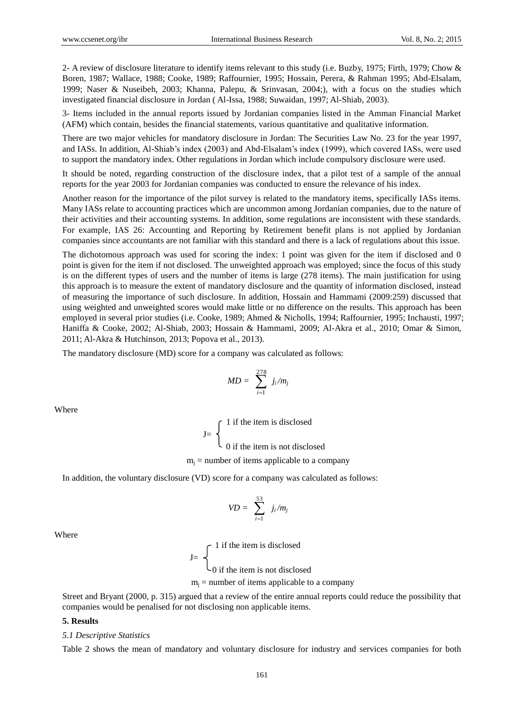2- A review of disclosure literature to identify items relevant to this study (i.e. Buzby, 1975; Firth, 1979; Chow & Boren, 1987; Wallace, 1988; Cooke, 1989; Raffournier, 1995; Hossain, Perera, & Rahman 1995; Abd-Elsalam, 1999; Naser & Nuseibeh, 2003; Khanna, Palepu, & Srinvasan, 2004;), with a focus on the studies which investigated financial disclosure in Jordan ( Al-Issa, 1988; Suwaidan, 1997; Al-Shiab, 2003).

3- Items included in the annual reports issued by Jordanian companies listed in the Amman Financial Market (AFM) which contain, besides the financial statements, various quantitative and qualitative information.

There are two major vehicles for mandatory disclosure in Jordan: The Securities Law No. 23 for the year 1997, and IASs. In addition, Al-Shiab's index (2003) and Abd-Elsalam's index (1999), which covered IASs, were used to support the mandatory index. Other regulations in Jordan which include compulsory disclosure were used.

It should be noted, regarding construction of the disclosure index, that a pilot test of a sample of the annual reports for the year 2003 for Jordanian companies was conducted to ensure the relevance of his index.

Another reason for the importance of the pilot survey is related to the mandatory items, specifically IASs items. Many IASs relate to accounting practices which are uncommon among Jordanian companies, due to the nature of their activities and their accounting systems. In addition, some regulations are inconsistent with these standards. For example, IAS 26: Accounting and Reporting by Retirement benefit plans is not applied by Jordanian companies since accountants are not familiar with this standard and there is a lack of regulations about this issue.

The dichotomous approach was used for scoring the index: 1 point was given for the item if disclosed and 0 point is given for the item if not disclosed. The unweighted approach was employed; since the focus of this study is on the different types of users and the number of items is large (278 items). The main justification for using this approach is to measure the extent of mandatory disclosure and the quantity of information disclosed, instead of measuring the importance of such disclosure. In addition, Hossain and Hammami (2009:259) discussed that using weighted and unweighted scores would make little or no difference on the results. This approach has been employed in several prior studies (i.e. Cooke, 1989; Ahmed & Nicholls, 1994; Raffournier, 1995; Inchausti, 1997; Haniffa & Cooke, 2002; Al-Shiab, 2003; Hossain & Hammami, 2009; Al-Akra et al., 2010; Omar & Simon, 2011; Al-Akra & Hutchinson, 2013; Popova et al., 2013).

The mandatory disclosure (MD) score for a company was calculated as follows:

$$
MD = \sum_{i=1}^{278} j_i/m_j
$$

Where

1 if the item is disclosed  $J=$  $\cup$  0 if the item is not disclosed  $m_i$  = number of items applicable to a company

In addition, the voluntary disclosure (VD) score for a company was calculated as follows:

$$
VD = \sum_{i=1}^{53} j_i/m_j
$$

Where

1 if the item is disclosed  $J=$ 0 if the item is not disclosed  $m<sub>i</sub>$  = number of items applicable to a company

Street and Bryant (2000, p. 315) argued that a review of the entire annual reports could reduce the possibility that companies would be penalised for not disclosing non applicable items.

## **5. Results**

#### *5.1 Descriptive Statistics*

Table 2 shows the mean of mandatory and voluntary disclosure for industry and services companies for both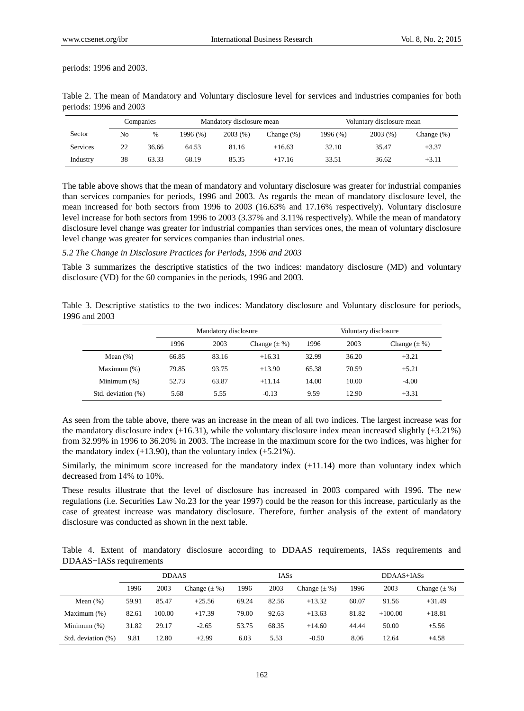periods: 1996 and 2003.

|          |    | Companies | Mandatory disclosure mean |         | Voluntary disclosure mean |          |         |               |
|----------|----|-----------|---------------------------|---------|---------------------------|----------|---------|---------------|
| Sector   | No | $\%$      | 1996 (%)                  | 2003(%) | Change $(\%)$             | 1996 (%) | 2003(%) | Change $(\%)$ |
| Services | 22 | 36.66     | 64.53                     | 81.16   | $+16.63$                  | 32.10    | 35.47   | $+3.37$       |
| Industry | 38 | 63.33     | 68.19                     | 85.35   | $+17.16$                  | 33.51    | 36.62   | $+3.11$       |

Table 2. The mean of Mandatory and Voluntary disclosure level for services and industries companies for both periods: 1996 and 2003

The table above shows that the mean of mandatory and voluntary disclosure was greater for industrial companies than services companies for periods, 1996 and 2003. As regards the mean of mandatory disclosure level, the mean increased for both sectors from 1996 to 2003 (16.63% and 17.16% respectively). Voluntary disclosure level increase for both sectors from 1996 to 2003 (3.37% and 3.11% respectively). While the mean of mandatory disclosure level change was greater for industrial companies than services ones, the mean of voluntary disclosure level change was greater for services companies than industrial ones.

#### *5.2 The Change in Disclosure Practices for Periods, 1996 and 2003*

Table 3 summarizes the descriptive statistics of the two indices: mandatory disclosure (MD) and voluntary disclosure (VD) for the 60 companies in the periods, 1996 and 2003.

Table 3. Descriptive statistics to the two indices: Mandatory disclosure and Voluntary disclosure for periods, 1996 and 2003

|                    | Mandatory disclosure |       |                   | Voluntary disclosure |       |                   |
|--------------------|----------------------|-------|-------------------|----------------------|-------|-------------------|
|                    | 1996                 | 2003  | Change $(\pm \%)$ | 1996                 | 2003  | Change $(\pm \%)$ |
| Mean $(\%)$        | 66.85                | 83.16 | $+16.31$          | 32.99                | 36.20 | $+3.21$           |
| Maximum (%)        | 79.85                | 93.75 | $+13.90$          | 65.38                | 70.59 | $+5.21$           |
| Minimum $(\%)$     | 52.73                | 63.87 | $+11.14$          | 14.00                | 10.00 | $-4.00$           |
| Std. deviation (%) | 5.68                 | 5.55  | $-0.13$           | 9.59                 | 12.90 | $+3.31$           |

As seen from the table above, there was an increase in the mean of all two indices. The largest increase was for the mandatory disclosure index  $(+16.31)$ , while the voluntary disclosure index mean increased slightly  $(+3.21\%)$ from 32.99% in 1996 to 36.20% in 2003. The increase in the maximum score for the two indices, was higher for the mandatory index  $(+13.90)$ , than the voluntary index  $(+5.21\%)$ .

Similarly, the minimum score increased for the mandatory index (+11.14) more than voluntary index which decreased from 14% to 10%.

These results illustrate that the level of disclosure has increased in 2003 compared with 1996. The new regulations (i.e. Securities Law No.23 for the year 1997) could be the reason for this increase, particularly as the case of greatest increase was mandatory disclosure. Therefore, further analysis of the extent of mandatory disclosure was conducted as shown in the next table.

Table 4. Extent of mandatory disclosure according to DDAAS requirements, IASs requirements and DDAAS+IASs requirements

|                    | <b>DDAAS</b> |        |                   | <b>IASs</b> |       |                   | DDAAS+IASs |           |                   |
|--------------------|--------------|--------|-------------------|-------------|-------|-------------------|------------|-----------|-------------------|
|                    | 1996         | 2003   | Change $(\pm \%)$ | 1996        | 2003  | Change $(\pm \%)$ | 1996       | 2003      | Change $(\pm \%)$ |
| Mean $(\%)$        | 59.91        | 85.47  | $+25.56$          | 69.24       | 82.56 | $+13.32$          | 60.07      | 91.56     | $+31.49$          |
| Maximum $(\%)$     | 82.61        | 100.00 | $+17.39$          | 79.00       | 92.63 | $+13.63$          | 81.82      | $+100.00$ | $+18.81$          |
| Minimum $(\%)$     | 31.82        | 29.17  | $-2.65$           | 53.75       | 68.35 | $+14.60$          | 44.44      | 50.00     | $+5.56$           |
| Std. deviation (%) | 9.81         | 12.80  | $+2.99$           | 6.03        | 5.53  | $-0.50$           | 8.06       | 12.64     | $+4.58$           |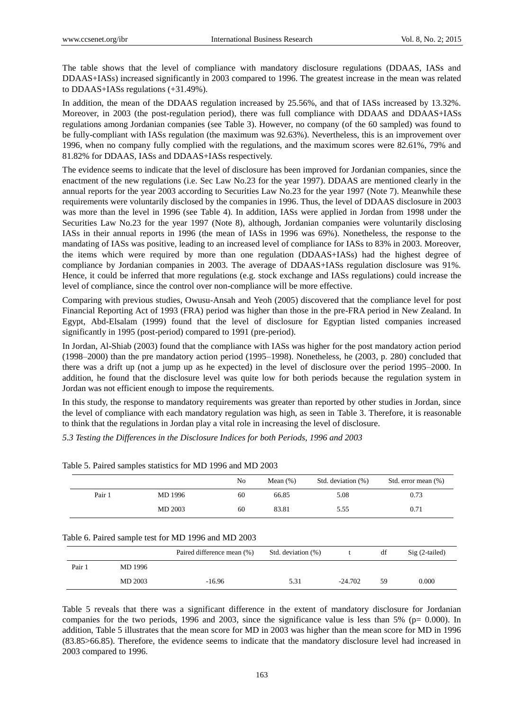The table shows that the level of compliance with mandatory disclosure regulations (DDAAS, IASs and DDAAS+IASs) increased significantly in 2003 compared to 1996. The greatest increase in the mean was related to DDAAS+IASs regulations (+31.49%).

In addition, the mean of the DDAAS regulation increased by 25.56%, and that of IASs increased by 13.32%. Moreover, in 2003 (the post-regulation period), there was full compliance with DDAAS and DDAAS+IASs regulations among Jordanian companies (see Table 3). However, no company (of the 60 sampled) was found to be fully-compliant with IASs regulation (the maximum was 92.63%). Nevertheless, this is an improvement over 1996, when no company fully complied with the regulations, and the maximum scores were 82.61%, 79% and 81.82% for DDAAS, IASs and DDAAS+IASs respectively.

The evidence seems to indicate that the level of disclosure has been improved for Jordanian companies, since the enactment of the new regulations (i.e. Sec Law No.23 for the year 1997). DDAAS are mentioned clearly in the annual reports for the year 2003 according to Securities Law No.23 for the year 1997 (Note 7). Meanwhile these requirements were voluntarily disclosed by the companies in 1996. Thus, the level of DDAAS disclosure in 2003 was more than the level in 1996 (see Table 4). In addition, IASs were applied in Jordan from 1998 under the Securities Law No.23 for the year 1997 (Note 8), although, Jordanian companies were voluntarily disclosing IASs in their annual reports in 1996 (the mean of IASs in 1996 was 69%). Nonetheless, the response to the mandating of IASs was positive, leading to an increased level of compliance for IASs to 83% in 2003. Moreover, the items which were required by more than one regulation (DDAAS+IASs) had the highest degree of compliance by Jordanian companies in 2003. The average of DDAAS+IASs regulation disclosure was 91%. Hence, it could be inferred that more regulations (e.g. stock exchange and IASs regulations) could increase the level of compliance, since the control over non-compliance will be more effective.

Comparing with previous studies, Owusu-Ansah and Yeoh (2005) discovered that the compliance level for post Financial Reporting Act of 1993 (FRA) period was higher than those in the pre-FRA period in New Zealand. In Egypt, Abd-Elsalam (1999) found that the level of disclosure for Egyptian listed companies increased significantly in 1995 (post-period) compared to 1991 (pre-period).

In Jordan, Al-Shiab (2003) found that the compliance with IASs was higher for the post mandatory action period (1998–2000) than the pre mandatory action period (1995–1998). Nonetheless, he (2003, p. 280) concluded that there was a drift up (not a jump up as he expected) in the level of disclosure over the period 1995–2000. In addition, he found that the disclosure level was quite low for both periods because the regulation system in Jordan was not efficient enough to impose the requirements.

In this study, the response to mandatory requirements was greater than reported by other studies in Jordan, since the level of compliance with each mandatory regulation was high, as seen in Table 3. Therefore, it is reasonable to think that the regulations in Jordan play a vital role in increasing the level of disclosure.

*5.3 Testing the Differences in the Disclosure Indices for both Periods, 1996 and 2003* 

|        |         | No | Mean $(\%)$ | Std. deviation (%) | Std. error mean (%) |
|--------|---------|----|-------------|--------------------|---------------------|
| Pair 1 | MD 1996 | 60 | 66.85       | 5.08               | 0.73                |
|        | MD 2003 | 60 | 83.81       | 5.55               | 0.71                |

Table 5. Paired samples statistics for MD 1996 and MD 2003

#### Table 6. Paired sample test for MD 1996 and MD 2003

|        |         | Paired difference mean (%) | Std. deviation (%) |           | df | $Sig(2-tailed)$ |
|--------|---------|----------------------------|--------------------|-----------|----|-----------------|
| Pair 1 | MD 1996 |                            |                    |           |    |                 |
|        | MD 2003 | $-16.96$                   | 5.31               | $-24.702$ | 59 | 0.000           |

Table 5 reveals that there was a significant difference in the extent of mandatory disclosure for Jordanian companies for the two periods, 1996 and 2003, since the significance value is less than 5% (p= 0.000). In addition, Table 5 illustrates that the mean score for MD in 2003 was higher than the mean score for MD in 1996 (83.85>66.85). Therefore, the evidence seems to indicate that the mandatory disclosure level had increased in 2003 compared to 1996.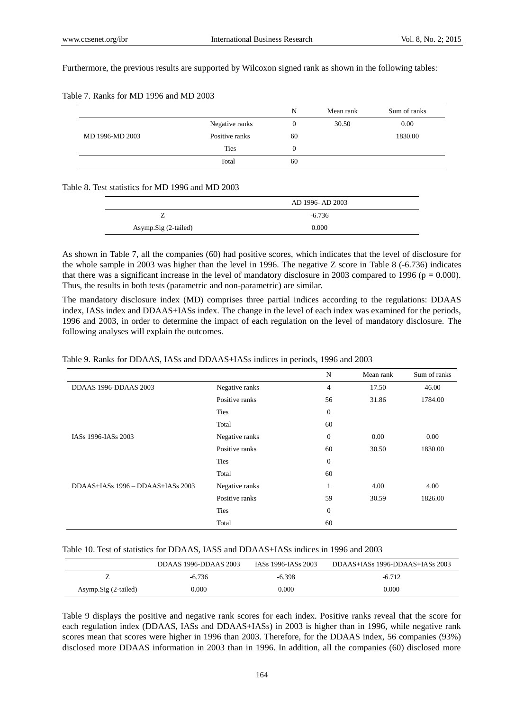Furthermore, the previous results are supported by Wilcoxon signed rank as shown in the following tables:

|                 |                | N              | Mean rank | Sum of ranks |
|-----------------|----------------|----------------|-----------|--------------|
|                 | Negative ranks | $\overline{0}$ | 30.50     | 0.00         |
| MD 1996-MD 2003 | Positive ranks | 60             |           | 1830.00      |
|                 | <b>Ties</b>    | $\theta$       |           |              |
|                 | Total          | 60             |           |              |

## Table 7. Ranks for MD 1996 and MD 2003

#### Table 8. Test statistics for MD 1996 and MD 2003

|                      | AD 1996-AD 2003 |
|----------------------|-----------------|
|                      | $-6.736$        |
| Asymp.Sig (2-tailed) | 0.000           |

As shown in Table 7, all the companies (60) had positive scores, which indicates that the level of disclosure for the whole sample in 2003 was higher than the level in 1996. The negative Z score in Table 8 (-6.736) indicates that there was a significant increase in the level of mandatory disclosure in 2003 compared to 1996 ( $p = 0.000$ ). Thus, the results in both tests (parametric and non-parametric) are similar.

The mandatory disclosure index (MD) comprises three partial indices according to the regulations: DDAAS index, IASs index and DDAAS+IASs index. The change in the level of each index was examined for the periods, 1996 and 2003, in order to determine the impact of each regulation on the level of mandatory disclosure. The following analyses will explain the outcomes.

## Table 9. Ranks for DDAAS, IASs and DDAAS+IASs indices in periods, 1996 and 2003

|                                   |                | N                | Mean rank | Sum of ranks |
|-----------------------------------|----------------|------------------|-----------|--------------|
| DDAAS 1996-DDAAS 2003             | Negative ranks | $\overline{4}$   | 17.50     | 46.00        |
|                                   | Positive ranks | 56               | 31.86     | 1784.00      |
|                                   | <b>Ties</b>    | $\mathbf{0}$     |           |              |
|                                   | Total          | 60               |           |              |
| IASs 1996-IASs 2003               | Negative ranks | $\mathbf{0}$     | 0.00      | 0.00         |
|                                   | Positive ranks | 60               | 30.50     | 1830.00      |
|                                   | <b>Ties</b>    | $\boldsymbol{0}$ |           |              |
|                                   | Total          | 60               |           |              |
| DDAAS+IASs 1996 - DDAAS+IASs 2003 | Negative ranks | $\mathbf{1}$     | 4.00      | 4.00         |
|                                   | Positive ranks | 59               | 30.59     | 1826.00      |
|                                   | <b>Ties</b>    | $\mathbf{0}$     |           |              |
|                                   | Total          | 60               |           |              |

#### Table 10. Test of statistics for DDAAS, IASS and DDAAS+IASs indices in 1996 and 2003

|                      | DDAAS 1996-DDAAS 2003 | IASs 1996-IASs 2003 | DDAAS+IASs 1996-DDAAS+IASs 2003 |
|----------------------|-----------------------|---------------------|---------------------------------|
|                      | $-6.736$              | -6.398              | $-6.712$                        |
| Asymp.Sig (2-tailed) | 0.000                 | 0.000               | 0.000                           |

Table 9 displays the positive and negative rank scores for each index. Positive ranks reveal that the score for each regulation index (DDAAS, IASs and DDAAS+IASs) in 2003 is higher than in 1996, while negative rank scores mean that scores were higher in 1996 than 2003. Therefore, for the DDAAS index, 56 companies (93%) disclosed more DDAAS information in 2003 than in 1996. In addition, all the companies (60) disclosed more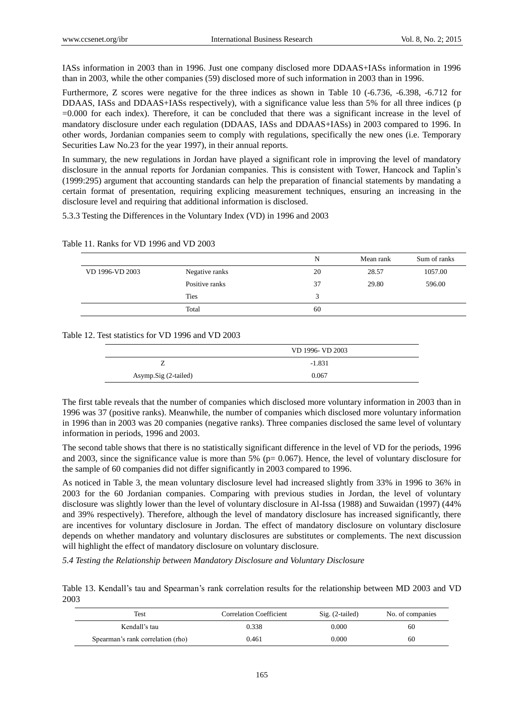IASs information in 2003 than in 1996. Just one company disclosed more DDAAS+IASs information in 1996 than in 2003, while the other companies (59) disclosed more of such information in 2003 than in 1996.

Furthermore, Z scores were negative for the three indices as shown in Table 10 (-6.736, -6.398, -6.712 for DDAAS, IASs and DDAAS+IASs respectively), with a significance value less than 5% for all three indices (p =0.000 for each index). Therefore, it can be concluded that there was a significant increase in the level of mandatory disclosure under each regulation (DDAAS, IASs and DDAAS+IASs) in 2003 compared to 1996. In other words, Jordanian companies seem to comply with regulations, specifically the new ones (i.e. Temporary Securities Law No.23 for the year 1997), in their annual reports.

In summary, the new regulations in Jordan have played a significant role in improving the level of mandatory disclosure in the annual reports for Jordanian companies. This is consistent with Tower, Hancock and Taplin's (1999:295) argument that accounting standards can help the preparation of financial statements by mandating a certain format of presentation, requiring explicing measurement techniques, ensuring an increasing in the disclosure level and requiring that additional information is disclosed.

5.3.3 Testing the Differences in the Voluntary Index (VD) in 1996 and 2003

Table 11. Ranks for VD 1996 and VD 2003

|                 |                | N  | Mean rank | Sum of ranks |
|-----------------|----------------|----|-----------|--------------|
| VD 1996-VD 2003 | Negative ranks | 20 | 28.57     | 1057.00      |
|                 | Positive ranks | 37 | 29.80     | 596.00       |
|                 | <b>Ties</b>    | 3  |           |              |
|                 | Total          | 60 |           |              |

Table 12. Test statistics for VD 1996 and VD 2003

|                      | VD 1996- VD 2003 |  |  |
|----------------------|------------------|--|--|
|                      | $-1.831$         |  |  |
| Asymp.Sig (2-tailed) | 0.067            |  |  |

The first table reveals that the number of companies which disclosed more voluntary information in 2003 than in 1996 was 37 (positive ranks). Meanwhile, the number of companies which disclosed more voluntary information in 1996 than in 2003 was 20 companies (negative ranks). Three companies disclosed the same level of voluntary information in periods, 1996 and 2003.

The second table shows that there is no statistically significant difference in the level of VD for the periods, 1996 and 2003, since the significance value is more than  $5\%$  (p= 0.067). Hence, the level of voluntary disclosure for the sample of 60 companies did not differ significantly in 2003 compared to 1996.

As noticed in Table 3, the mean voluntary disclosure level had increased slightly from 33% in 1996 to 36% in 2003 for the 60 Jordanian companies. Comparing with previous studies in Jordan, the level of voluntary disclosure was slightly lower than the level of voluntary disclosure in Al-Issa (1988) and Suwaidan (1997) (44% and 39% respectively). Therefore, although the level of mandatory disclosure has increased significantly, there are incentives for voluntary disclosure in Jordan. The effect of mandatory disclosure on voluntary disclosure depends on whether mandatory and voluntary disclosures are substitutes or complements. The next discussion will highlight the effect of mandatory disclosure on voluntary disclosure.

*5.4 Testing the Relationship between Mandatory Disclosure and Voluntary Disclosure*

Table 13. Kendall's tau and Spearman's rank correlation results for the relationship between MD 2003 and VD 2003

| Test                              | <b>Correlation Coefficient</b> | $Sig. (2-tailed)$ | No. of companies |
|-----------------------------------|--------------------------------|-------------------|------------------|
| Kendall's tau                     | 0.338                          | 0.000             | 60               |
| Spearman's rank correlation (rho) | 0.461                          | 0.000             | 60               |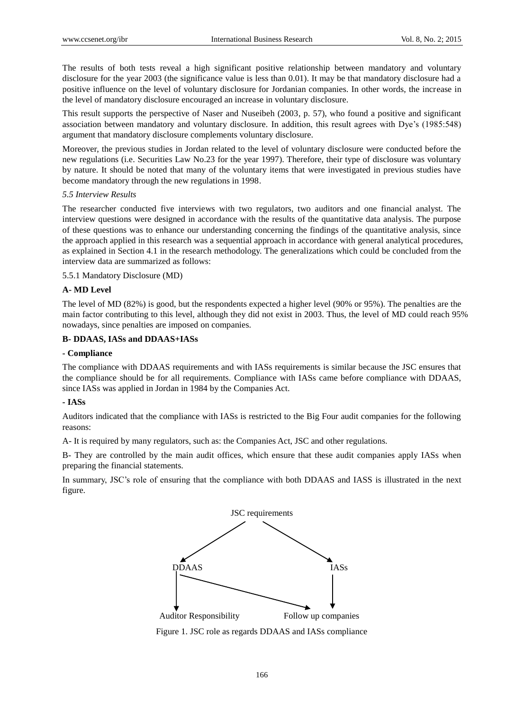The results of both tests reveal a high significant positive relationship between mandatory and voluntary disclosure for the year 2003 (the significance value is less than 0.01). It may be that mandatory disclosure had a positive influence on the level of voluntary disclosure for Jordanian companies. In other words, the increase in the level of mandatory disclosure encouraged an increase in voluntary disclosure.

This result supports the perspective of Naser and Nuseibeh (2003, p. 57), who found a positive and significant association between mandatory and voluntary disclosure. In addition, this result agrees with Dye's (1985:548) argument that mandatory disclosure complements voluntary disclosure.

Moreover, the previous studies in Jordan related to the level of voluntary disclosure were conducted before the new regulations (i.e. Securities Law No.23 for the year 1997). Therefore, their type of disclosure was voluntary by nature. It should be noted that many of the voluntary items that were investigated in previous studies have become mandatory through the new regulations in 1998.

## *5.5 Interview Results*

The researcher conducted five interviews with two regulators, two auditors and one financial analyst. The interview questions were designed in accordance with the results of the quantitative data analysis. The purpose of these questions was to enhance our understanding concerning the findings of the quantitative analysis, since the approach applied in this research was a sequential approach in accordance with general analytical procedures, as explained in Section 4.1 in the research methodology. The generalizations which could be concluded from the interview data are summarized as follows:

## 5.5.1 Mandatory Disclosure (MD)

## **A- MD Level**

The level of MD (82%) is good, but the respondents expected a higher level (90% or 95%). The penalties are the main factor contributing to this level, although they did not exist in 2003. Thus, the level of MD could reach 95% nowadays, since penalties are imposed on companies.

## **B- DDAAS, IASs and DDAAS+IASs**

## **- Compliance**

The compliance with DDAAS requirements and with IASs requirements is similar because the JSC ensures that the compliance should be for all requirements. Compliance with IASs came before compliance with DDAAS, since IASs was applied in Jordan in 1984 by the Companies Act.

### **- IASs**

Auditors indicated that the compliance with IASs is restricted to the Big Four audit companies for the following reasons:

A- It is required by many regulators, such as: the Companies Act, JSC and other regulations.

B- They are controlled by the main audit offices, which ensure that these audit companies apply IASs when preparing the financial statements.

In summary, JSC's role of ensuring that the compliance with both DDAAS and IASS is illustrated in the next figure.



Figure 1. JSC role as regards DDAAS and IASs compliance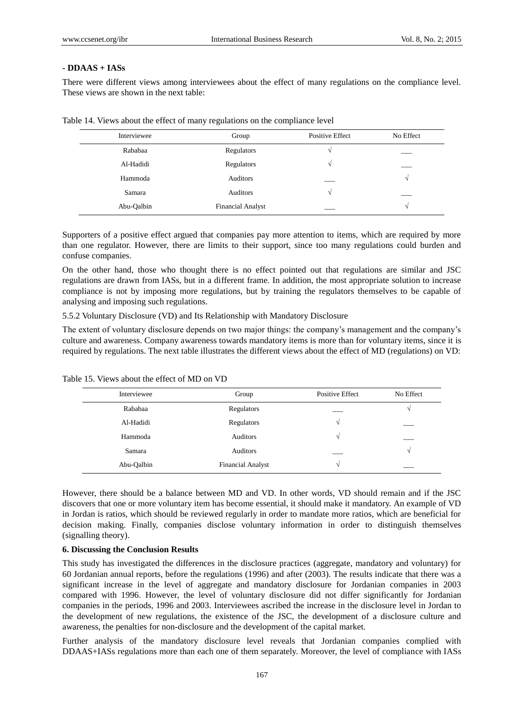## **- DDAAS + IASs**

There were different views among interviewees about the effect of many regulations on the compliance level. These views are shown in the next table:

| Interviewee | Group                    | <b>Positive Effect</b> | No Effect  |
|-------------|--------------------------|------------------------|------------|
| Rababaa     | Regulators               | N                      |            |
| Al-Hadidi   | Regulators               | N                      |            |
| Hammoda     | Auditors                 |                        | $\sqrt{ }$ |
| Samara      | Auditors                 | V                      |            |
| Abu-Oalbin  | <b>Financial Analyst</b> |                        | $\sqrt{ }$ |

Table 14. Views about the effect of many regulations on the compliance level

Supporters of a positive effect argued that companies pay more attention to items, which are required by more than one regulator. However, there are limits to their support, since too many regulations could burden and confuse companies.

On the other hand, those who thought there is no effect pointed out that regulations are similar and JSC regulations are drawn from IASs, but in a different frame. In addition, the most appropriate solution to increase compliance is not by imposing more regulations, but by training the regulators themselves to be capable of analysing and imposing such regulations.

5.5.2 Voluntary Disclosure (VD) and Its Relationship with Mandatory Disclosure

The extent of voluntary disclosure depends on two major things: the company's management and the company's culture and awareness. Company awareness towards mandatory items is more than for voluntary items, since it is required by regulations. The next table illustrates the different views about the effect of MD (regulations) on VD:

| Interviewee | Group                    | <b>Positive Effect</b> | No Effect |
|-------------|--------------------------|------------------------|-----------|
| Rababaa     | Regulators               |                        |           |
| Al-Hadidi   | Regulators               | N                      |           |
| Hammoda     | Auditors                 | N                      |           |
| Samara      | Auditors                 |                        |           |
| Abu-Oalbin  | <b>Financial Analyst</b> |                        |           |

Table 15. Views about the effect of MD on VD

However, there should be a balance between MD and VD. In other words, VD should remain and if the JSC discovers that one or more voluntary item has become essential, it should make it mandatory. An example of VD in Jordan is ratios, which should be reviewed regularly in order to mandate more ratios, which are beneficial for decision making. Finally, companies disclose voluntary information in order to distinguish themselves (signalling theory).

## **6. Discussing the Conclusion Results**

This study has investigated the differences in the disclosure practices (aggregate, mandatory and voluntary) for 60 Jordanian annual reports, before the regulations (1996) and after (2003). The results indicate that there was a significant increase in the level of aggregate and mandatory disclosure for Jordanian companies in 2003 compared with 1996. However, the level of voluntary disclosure did not differ significantly for Jordanian companies in the periods, 1996 and 2003. Interviewees ascribed the increase in the disclosure level in Jordan to the development of new regulations, the existence of the JSC, the development of a disclosure culture and awareness, the penalties for non-disclosure and the development of the capital market.

Further analysis of the mandatory disclosure level reveals that Jordanian companies complied with DDAAS+IASs regulations more than each one of them separately. Moreover, the level of compliance with IASs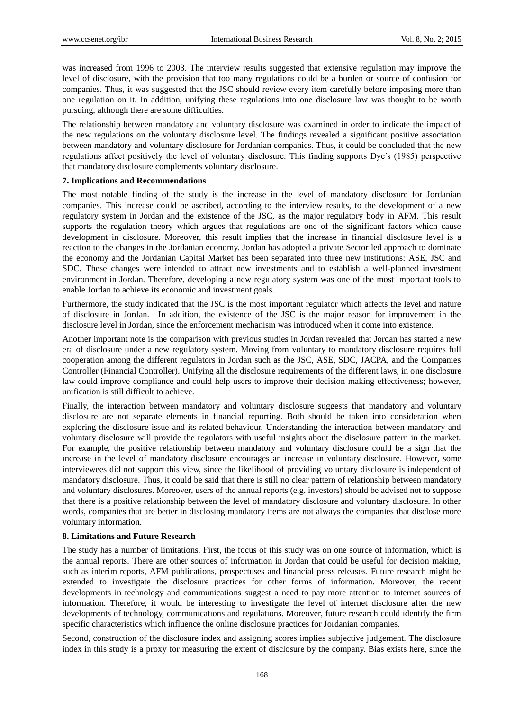was increased from 1996 to 2003. The interview results suggested that extensive regulation may improve the level of disclosure, with the provision that too many regulations could be a burden or source of confusion for companies. Thus, it was suggested that the JSC should review every item carefully before imposing more than one regulation on it. In addition, unifying these regulations into one disclosure law was thought to be worth pursuing, although there are some difficulties.

The relationship between mandatory and voluntary disclosure was examined in order to indicate the impact of the new regulations on the voluntary disclosure level. The findings revealed a significant positive association between mandatory and voluntary disclosure for Jordanian companies. Thus, it could be concluded that the new regulations affect positively the level of voluntary disclosure. This finding supports Dye's (1985) perspective that mandatory disclosure complements voluntary disclosure.

## **7. Implications and Recommendations**

The most notable finding of the study is the increase in the level of mandatory disclosure for Jordanian companies. This increase could be ascribed, according to the interview results, to the development of a new regulatory system in Jordan and the existence of the JSC, as the major regulatory body in AFM. This result supports the regulation theory which argues that regulations are one of the significant factors which cause development in disclosure. Moreover, this result implies that the increase in financial disclosure level is a reaction to the changes in the Jordanian economy. Jordan has adopted a private Sector led approach to dominate the economy and the Jordanian Capital Market has been separated into three new institutions: ASE, JSC and SDC. These changes were intended to attract new investments and to establish a well-planned investment environment in Jordan. Therefore, developing a new regulatory system was one of the most important tools to enable Jordan to achieve its economic and investment goals.

Furthermore, the study indicated that the JSC is the most important regulator which affects the level and nature of disclosure in Jordan. In addition, the existence of the JSC is the major reason for improvement in the disclosure level in Jordan, since the enforcement mechanism was introduced when it come into existence.

Another important note is the comparison with previous studies in Jordan revealed that Jordan has started a new era of disclosure under a new regulatory system. Moving from voluntary to mandatory disclosure requires full cooperation among the different regulators in Jordan such as the JSC, ASE, SDC, JACPA, and the Companies Controller (Financial Controller). Unifying all the disclosure requirements of the different laws, in one disclosure law could improve compliance and could help users to improve their decision making effectiveness; however, unification is still difficult to achieve.

Finally, the interaction between mandatory and voluntary disclosure suggests that mandatory and voluntary disclosure are not separate elements in financial reporting. Both should be taken into consideration when exploring the disclosure issue and its related behaviour. Understanding the interaction between mandatory and voluntary disclosure will provide the regulators with useful insights about the disclosure pattern in the market. For example, the positive relationship between mandatory and voluntary disclosure could be a sign that the increase in the level of mandatory disclosure encourages an increase in voluntary disclosure. However, some interviewees did not support this view, since the likelihood of providing voluntary disclosure is independent of mandatory disclosure. Thus, it could be said that there is still no clear pattern of relationship between mandatory and voluntary disclosures. Moreover, users of the annual reports (e.g. investors) should be advised not to suppose that there is a positive relationship between the level of mandatory disclosure and voluntary disclosure. In other words, companies that are better in disclosing mandatory items are not always the companies that disclose more voluntary information.

# **8. Limitations and Future Research**

The study has a number of limitations. First, the focus of this study was on one source of information, which is the annual reports. There are other sources of information in Jordan that could be useful for decision making, such as interim reports, AFM publications, prospectuses and financial press releases. Future research might be extended to investigate the disclosure practices for other forms of information. Moreover, the recent developments in technology and communications suggest a need to pay more attention to internet sources of information. Therefore, it would be interesting to investigate the level of internet disclosure after the new developments of technology, communications and regulations. Moreover, future research could identify the firm specific characteristics which influence the online disclosure practices for Jordanian companies.

Second, construction of the disclosure index and assigning scores implies subjective judgement. The disclosure index in this study is a proxy for measuring the extent of disclosure by the company. Bias exists here, since the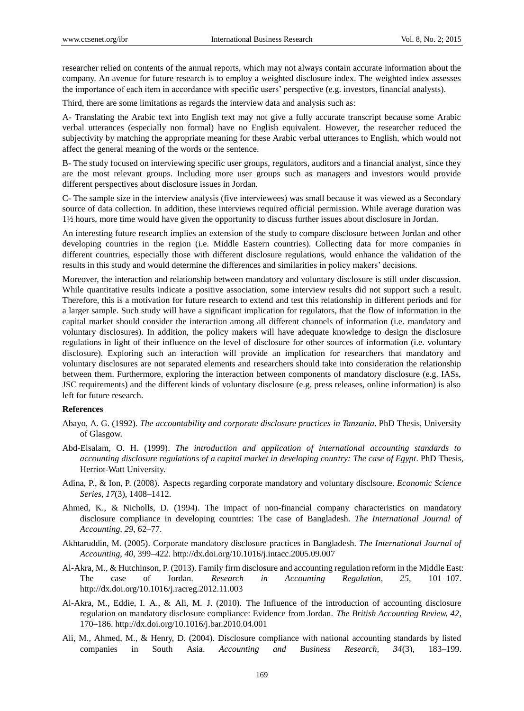researcher relied on contents of the annual reports, which may not always contain accurate information about the company. An avenue for future research is to employ a weighted disclosure index. The weighted index assesses the importance of each item in accordance with specific users' perspective (e.g. investors, financial analysts).

Third, there are some limitations as regards the interview data and analysis such as:

A- Translating the Arabic text into English text may not give a fully accurate transcript because some Arabic verbal utterances (especially non formal) have no English equivalent. However, the researcher reduced the subjectivity by matching the appropriate meaning for these Arabic verbal utterances to English, which would not affect the general meaning of the words or the sentence.

B- The study focused on interviewing specific user groups, regulators, auditors and a financial analyst, since they are the most relevant groups. Including more user groups such as managers and investors would provide different perspectives about disclosure issues in Jordan.

C- The sample size in the interview analysis (five interviewees) was small because it was viewed as a Secondary source of data collection. In addition, these interviews required official permission. While average duration was 1½ hours, more time would have given the opportunity to discuss further issues about disclosure in Jordan.

An interesting future research implies an extension of the study to compare disclosure between Jordan and other developing countries in the region (i.e. Middle Eastern countries). Collecting data for more companies in different countries, especially those with different disclosure regulations, would enhance the validation of the results in this study and would determine the differences and similarities in policy makers' decisions.

Moreover, the interaction and relationship between mandatory and voluntary disclosure is still under discussion. While quantitative results indicate a positive association, some interview results did not support such a result. Therefore, this is a motivation for future research to extend and test this relationship in different periods and for a larger sample. Such study will have a significant implication for regulators, that the flow of information in the capital market should consider the interaction among all different channels of information (i.e. mandatory and voluntary disclosures). In addition, the policy makers will have adequate knowledge to design the disclosure regulations in light of their influence on the level of disclosure for other sources of information (i.e. voluntary disclosure). Exploring such an interaction will provide an implication for researchers that mandatory and voluntary disclosures are not separated elements and researchers should take into consideration the relationship between them. Furthermore, exploring the interaction between components of mandatory disclosure (e.g. IASs, JSC requirements) and the different kinds of voluntary disclosure (e.g. press releases, online information) is also left for future research.

#### **References**

- Abayo, A. G. (1992). *The accountability and corporate disclosure practices in Tanzania*. PhD Thesis, University of Glasgow.
- Abd-Elsalam, O. H. (1999). *The introduction and application of international accounting standards to accounting disclosure regulations of a capital market in developing country: The case of Egypt*. PhD Thesis, Herriot-Watt University.
- Adina, P., & Ion, P. (2008). Aspects regarding corporate mandatory and voluntary disclsoure. *Economic Science Series, 17*(3), 1408–1412.
- Ahmed, K., & Nicholls, D. (1994). The impact of non-financial company characteristics on mandatory disclosure compliance in developing countries: The case of Bangladesh. *The International Journal of Accounting, 29*, 62–77.
- Akhtaruddin, M. (2005). Corporate mandatory disclosure practices in Bangladesh. *The International Journal of Accounting, 40*, 399–422. http://dx.doi.org/10.1016/j.intacc.2005.09.007
- Al-Akra, M., & Hutchinson, P. (2013). Family firm disclosure and accounting regulation reform in the Middle East: The case of Jordan. *Research in Accounting Regulation, 25,* 101–107. http://dx.doi.org/10.1016/j.racreg.2012.11.003
- Al-Akra, M., Eddie, I. A., & Ali, M. J. (2010). The Influence of the introduction of accounting disclosure regulation on mandatory disclosure compliance: Evidence from Jordan. *The British Accounting Review, 42*, 170–186. http://dx.doi.org/10.1016/j.bar.2010.04.001
- Ali, M., Ahmed, M., & Henry, D. (2004). Disclosure compliance with national accounting standards by listed companies in South Asia. *Accounting and Business Research, 34*(3), 183–199.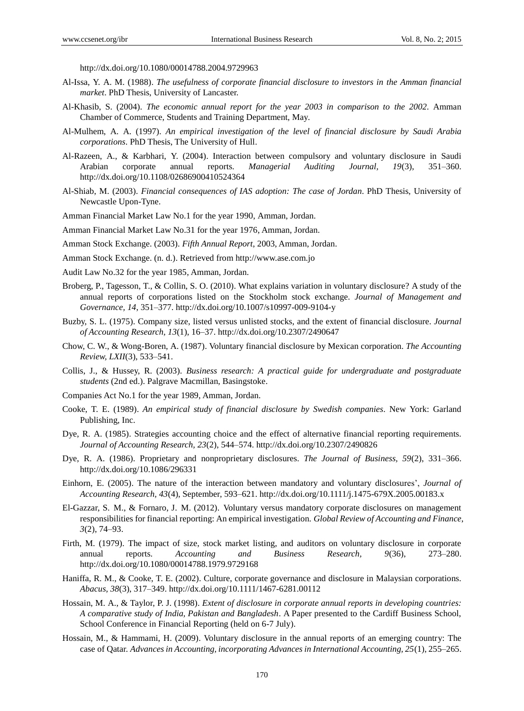http://dx.doi.org/10.1080/00014788.2004.9729963

- Al-Issa, Y. A. M. (1988). *The usefulness of corporate financial disclosure to investors in the Amman financial market*. PhD Thesis, University of Lancaster.
- Al-Khasib, S. (2004). *The economic annual report for the year 2003 in comparison to the 2002*. Amman Chamber of Commerce, Students and Training Department, May.
- Al-Mulhem, A. A. (1997). *An empirical investigation of the level of financial disclosure by Saudi Arabia corporations*. PhD Thesis, The University of Hull.
- Al-Razeen, A., & Karbhari, Y. (2004). Interaction between compulsory and voluntary disclosure in Saudi Arabian corporate annual reports. *Managerial Auditing Journal, 19*(3), 351–360. http://dx.doi.org/10.1108/02686900410524364
- Al-Shiab, M. (2003). *Financial consequences of IAS adoption: The case of Jordan*. PhD Thesis, University of Newcastle Upon-Tyne.
- Amman Financial Market Law No.1 for the year 1990, Amman, Jordan.
- Amman Financial Market Law No.31 for the year 1976, Amman, Jordan.
- Amman Stock Exchange. (2003). *Fifth Annual Report*, 2003, Amman, Jordan.
- Amman Stock Exchange. (n. d.). Retrieved from http://www.ase.com.jo
- Audit Law No.32 for the year 1985, Amman, Jordan.
- Broberg, P., Tagesson, T., & Collin, S. O. (2010). What explains variation in voluntary disclosure? A study of the annual reports of corporations listed on the Stockholm stock exchange. *Journal of Management and Governance, 14*, 351–377. http://dx.doi.org/10.1007/s10997-009-9104-y
- Buzby, S. L. (1975). Company size, listed versus unlisted stocks, and the extent of financial disclosure. *Journal of Accounting Research, 13*(1), 16–37. http://dx.doi.org/10.2307/2490647
- Chow, C. W., & Wong-Boren, A. (1987). Voluntary financial disclosure by Mexican corporation. *The Accounting Review, LXII*(3), 533–541.
- Collis, J., & Hussey, R. (2003). *Business research: A practical guide for undergraduate and postgraduate students* (2nd ed.). Palgrave Macmillan, Basingstoke.
- Companies Act No.1 for the year 1989, Amman, Jordan.
- Cooke, T. E. (1989). *An empirical study of financial disclosure by Swedish companies*. New York: Garland Publishing, Inc.
- Dye, R. A. (1985). Strategies accounting choice and the effect of alternative financial reporting requirements. *Journal of Accounting Research, 23*(2), 544–574. http://dx.doi.org/10.2307/2490826
- Dye, R. A. (1986). Proprietary and nonproprietary disclosures. *The Journal of Business, 59*(2), 331–366. http://dx.doi.org/10.1086/296331
- Einhorn, E. (2005). The nature of the interaction between mandatory and voluntary disclosures', *Journal of Accounting Research, 43*(4), September, 593–621. http://dx.doi.org/10.1111/j.1475-679X.2005.00183.x
- El-Gazzar, S. M., & Fornaro, J. M. (2012). Voluntary versus mandatory corporate disclosures on management responsibilities for financial reporting: An empirical investigation. *Global Review of Accounting and Finance*, *3*(2), 74–93.
- Firth, M. (1979). The impact of size, stock market listing, and auditors on voluntary disclosure in corporate annual reports. *Accounting and Business Research, 9*(36), 273–280. http://dx.doi.org/10.1080/00014788.1979.9729168
- Haniffa, R. M., & Cooke, T. E. (2002). Culture, corporate governance and disclosure in Malaysian corporations. *Abacus, 38*(3), 317–349. http://dx.doi.org/10.1111/1467-6281.00112
- Hossain, M. A., & Taylor, P. J. (1998). *Extent of disclosure in corporate annual reports in developing countries: A comparative study of India, Pakistan and Bangladesh*. A Paper presented to the Cardiff Business School, School Conference in Financial Reporting (held on 6-7 July).
- Hossain, M., & Hammami, H. (2009). Voluntary disclosure in the annual reports of an emerging country: The case of Qatar. *Advances in Accounting, incorporating Advances in International Accounting, 25*(1), 255–265.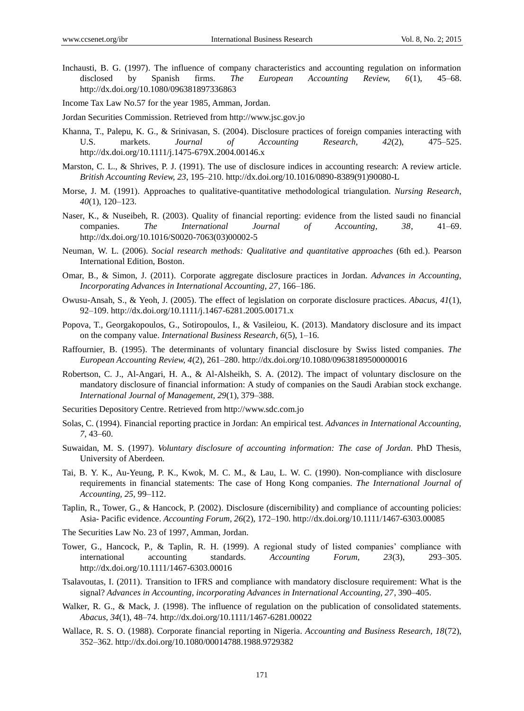- Inchausti, B. G. (1997). The influence of company characteristics and accounting regulation on information disclosed by Spanish firms. *The European Accounting Review, 6*(1), 45–68. http://dx.doi.org/10.1080/096381897336863
- Income Tax Law No.57 for the year 1985, Amman, Jordan.
- Jordan Securities Commission. Retrieved from http://www.jsc.gov.jo
- Khanna, T., Palepu, K. G., & Srinivasan, S. (2004). Disclosure practices of foreign companies interacting with U.S. markets. *Journal of Accounting Research, 42*(2), 475–525. http://dx.doi.org/10.1111/j.1475-679X.2004.00146.x
- Marston, C. L., & Shrives, P. J. (1991). The use of disclosure indices in accounting research: A review article. *British Accounting Review, 23*, 195–210. http://dx.doi.org/10.1016/0890-8389(91)90080-L
- Morse, J. M. (1991). Approaches to qualitative-quantitative methodological triangulation. *Nursing Research*, *40*(1), 120–123.
- Naser, K., & Nuseibeh, R. (2003). Quality of financial reporting: evidence from the listed saudi no financial companies. *The International Journal of Accounting, 38*, 41–69. http://dx.doi.org/10.1016/S0020-7063(03)00002-5
- Neuman, W. L. (2006). *Social research methods: Qualitative and quantitative approaches* (6th ed.). Pearson International Edition, Boston.
- Omar, B., & Simon, J. (2011). Corporate aggregate disclosure practices in Jordan. *Advances in Accounting, Incorporating Advances in International Accounting, 27*, 166–186.
- Owusu-Ansah, S., & Yeoh, J. (2005). The effect of legislation on corporate disclosure practices. *Abacus, 41*(1), 92–109. http://dx.doi.org/10.1111/j.1467-6281.2005.00171.x
- Popova, T., Georgakopoulos, G., Sotiropoulos, I., & Vasileiou, K. (2013). Mandatory disclosure and its impact on the company value. *International Business Research, 6*(5), 1–16.
- Raffournier, B. (1995). The determinants of voluntary financial disclosure by Swiss listed companies. *The European Accounting Review, 4*(2), 261–280. http://dx.doi.org/10.1080/09638189500000016
- Robertson, C. J., Al-Angari, H. A., & Al-Alsheikh, S. A. (2012). The impact of voluntary disclosure on the mandatory disclosure of financial information: A study of companies on the Saudi Arabian stock exchange. *International Journal of Management, 29*(1), 379–388.
- Securities Depository Centre. Retrieved from http://www.sdc.com.jo
- Solas, C. (1994). Financial reporting practice in Jordan: An empirical test. *Advances in International Accounting, 7*, 43–60.
- Suwaidan, M. S. (1997). *Voluntary disclosure of accounting information: The case of Jordan*. PhD Thesis, University of Aberdeen.
- Tai, B. Y. K., Au-Yeung, P. K., Kwok, M. C. M., & Lau, L. W. C. (1990). Non-compliance with disclosure requirements in financial statements: The case of Hong Kong companies. *The International Journal of Accounting, 25*, 99–112.
- Taplin, R., Tower, G., & Hancock, P. (2002). Disclosure (discernibility) and compliance of accounting policies: Asia- Pacific evidence. *Accounting Forum, 26*(2), 172–190. http://dx.doi.org/10.1111/1467-6303.00085
- The Securities Law No. 23 of 1997, Amman, Jordan.
- Tower, G., Hancock, P., & Taplin, R. H. (1999). A regional study of listed companies' compliance with international accounting standards. *Accounting Forum, 23*(3), 293–305. http://dx.doi.org/10.1111/1467-6303.00016
- Tsalavoutas, I. (2011). Transition to IFRS and compliance with mandatory disclosure requirement: What is the signal? *Advances in Accounting, incorporating Advances in International Accounting, 27*, 390–405.
- Walker, R. G., & Mack, J. (1998). The influence of regulation on the publication of consolidated statements. *Abacus, 34*(1), 48–74. http://dx.doi.org/10.1111/1467-6281.00022
- Wallace, R. S. O. (1988). Corporate financial reporting in Nigeria. *Accounting and Business Research, 18*(72), 352–362. http://dx.doi.org/10.1080/00014788.1988.9729382